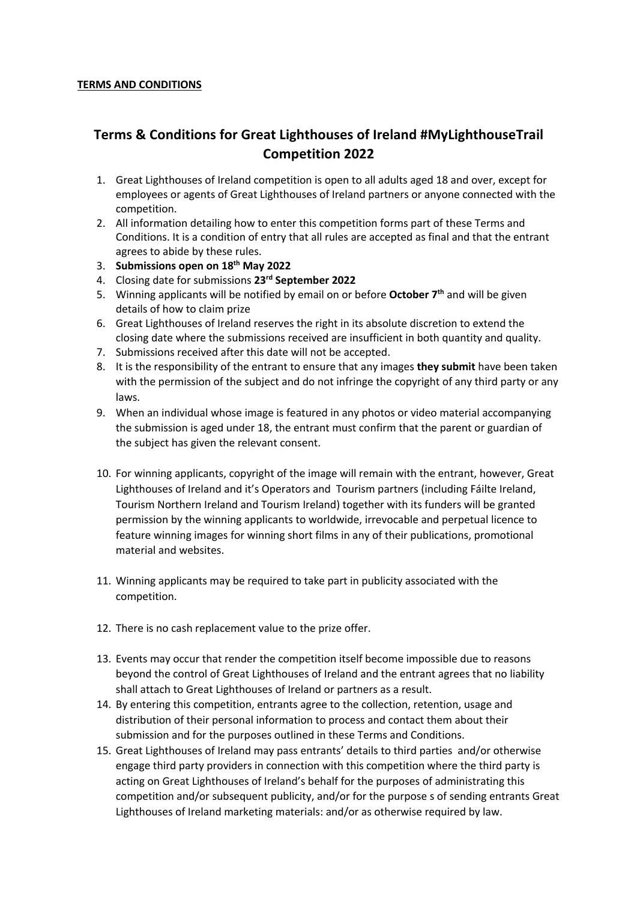## **Terms & Conditions for Great Lighthouses of Ireland #MyLighthouseTrail Competition 2022**

- 1. Great Lighthouses of Ireland competition is open to all adults aged 18 and over, except for employees or agents of Great Lighthouses of Ireland partners or anyone connected with the competition.
- 2. All information detailing how to enter this competition forms part of these Terms and Conditions. It is a condition of entry that all rules are accepted as final and that the entrant agrees to abide by these rules.
- 3. **Submissions open on 18th May 2022**
- 4. Closing date for submissions **23rd September 2022**
- 5. Winning applicants will be notified by email on or before **October 7th** and will be given details of how to claim prize
- 6. Great Lighthouses of Ireland reserves the right in its absolute discretion to extend the closing date where the submissions received are insufficient in both quantity and quality.
- 7. Submissions received after this date will not be accepted.
- 8. It is the responsibility of the entrant to ensure that any images **they submit** have been taken with the permission of the subject and do not infringe the copyright of any third party or any laws.
- 9. When an individual whose image is featured in any photos or video material accompanying the submission is aged under 18, the entrant must confirm that the parent or guardian of the subject has given the relevant consent.
- 10. For winning applicants, copyright of the image will remain with the entrant, however, Great Lighthouses of Ireland and it's Operators and Tourism partners (including Fáilte Ireland, Tourism Northern Ireland and Tourism Ireland) together with its funders will be granted permission by the winning applicants to worldwide, irrevocable and perpetual licence to feature winning images for winning short films in any of their publications, promotional material and websites.
- 11. Winning applicants may be required to take part in publicity associated with the competition.
- 12. There is no cash replacement value to the prize offer.
- 13. Events may occur that render the competition itself become impossible due to reasons beyond the control of Great Lighthouses of Ireland and the entrant agrees that no liability shall attach to Great Lighthouses of Ireland or partners as a result.
- 14. By entering this competition, entrants agree to the collection, retention, usage and distribution of their personal information to process and contact them about their submission and for the purposes outlined in these Terms and Conditions.
- 15. Great Lighthouses of Ireland may pass entrants' details to third parties and/or otherwise engage third party providers in connection with this competition where the third party is acting on Great Lighthouses of Ireland's behalf for the purposes of administrating this competition and/or subsequent publicity, and/or for the purpose s of sending entrants Great Lighthouses of Ireland marketing materials: and/or as otherwise required by law.